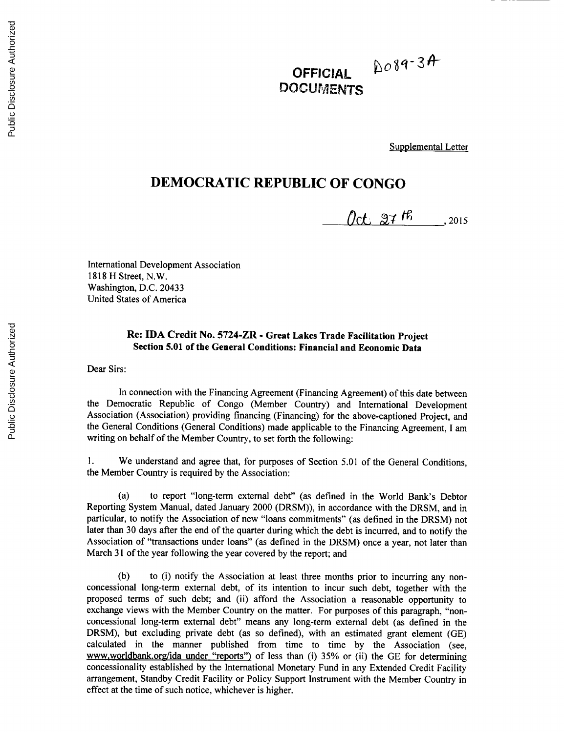## $2089 - 34$ **OFFICIAL** DOCUMENTS

Supplemental Letter

## **DEMOCRATIC REPUBLIC OF CONGO**

 $(2015)$ 

International Development Association **1818** H Street, N.W. Washington, **D.C.** 20433 United States of America

## **Re: IDA Credit** No. 5724-ZR **- Great Lakes Trade Facilitation Project Section 5.01 of the General Conditions: Financial and Economic Data**

**Dear** Sirs:

In connection with the Financing Agreement (Financing Agreement) of this date between the Democratic Republic of Congo (Member Country) and International Development Association (Association) providing financing (Financing) for the above-captioned Project, and the General Conditions (General Conditions) made applicable to the Financing Agreement, **I** am writing on behalf of the Member Country, to set forth the following:

**1.** We understand and agree that, for purposes of Section **5.01** of the General Conditions, the Member Country is required **by** the Association:

(a) to report "long-term external debt" (as defined in the World Bank's Debtor Reporting System Manual, dated January 2000 (DRSM)), in accordance with the DRSM, and in particular, to notify the Association of new "loans commitments" (as defined in the DRSM) not later than **30** days after the end of the quarter during which the debt is incurred, and to notify the Association of "transactions under loans" (as defined in the DRSM) once a year, not later than March **31** of the year following the year covered **by** the report; and

**(b)** to (i) notify the Association at least three months prior to incurring any nonconcessional long-term external debt, of its intention to incur such debt, together with the proposed terms of such debt; and (ii) afford the Association a reasonable opportunity to exchange views with the Member Country on the matter. For purposes of this paragraph, "nonconcessional long-term external debt" means any long-term external debt (as defined in the DRSM), but excluding private debt (as so defined), with an estimated grant element **(GE)** calculated in the manner published from time to time **by** the Association (see, www.worldbank.org/ida under "reports") of less than (i) **35%** or (ii) the **GE** for determining concessionality established **by** the International Monetary Fund in any Extended Credit Facility arrangement, Standby Credit Facility or Policy Support Instrument with the Member Country in effect at the time of such notice, whichever is higher.